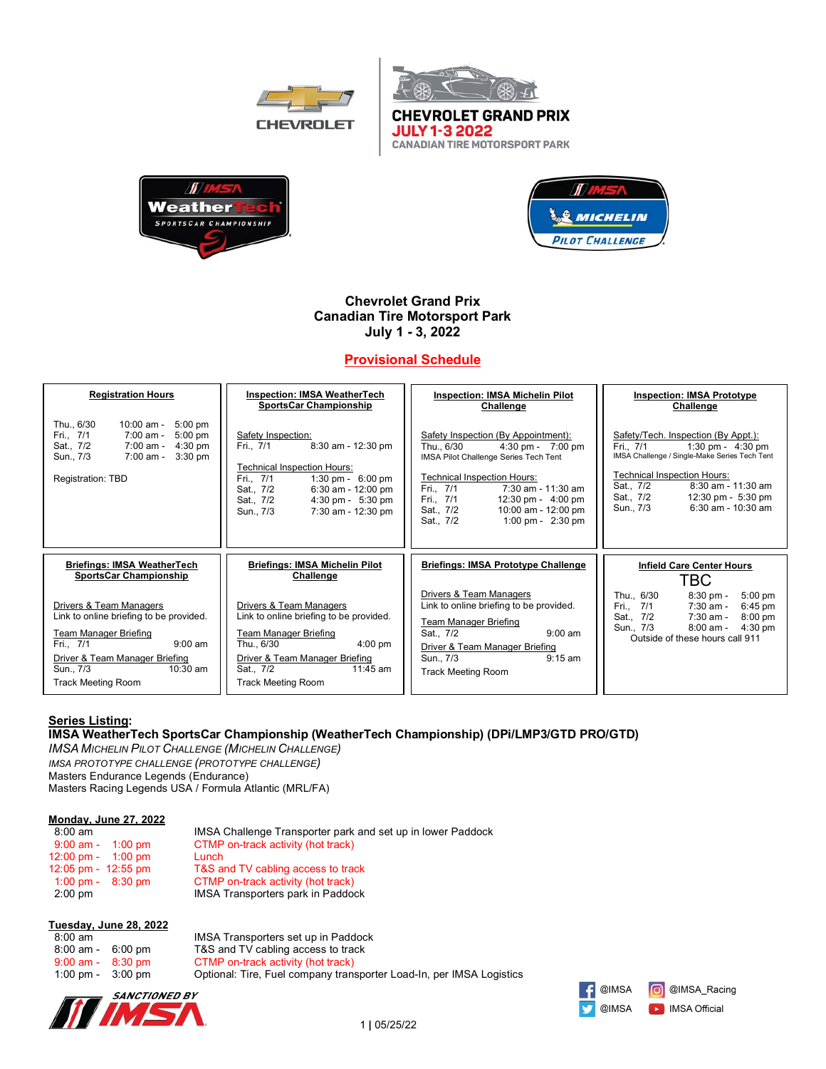



**CANADIAN TIRE MOTORSPORT PARK** 





# **Chevrolet Grand Prix Canadian Tire Motorsport Park July 1 - 3, 2022**

# **Provisional Schedule**

| <b>Registration Hours</b>                                                                                                                                                                                          | <b>Inspection: IMSA WeatherTech</b>                                                                                                                                                                                                                         | <b>Inspection: IMSA Michelin Pilot</b>                                                                                                                                                                                                                                                                                  | <b>Inspection: IMSA Prototype</b>                                                                                                                                                                                                                                             |
|--------------------------------------------------------------------------------------------------------------------------------------------------------------------------------------------------------------------|-------------------------------------------------------------------------------------------------------------------------------------------------------------------------------------------------------------------------------------------------------------|-------------------------------------------------------------------------------------------------------------------------------------------------------------------------------------------------------------------------------------------------------------------------------------------------------------------------|-------------------------------------------------------------------------------------------------------------------------------------------------------------------------------------------------------------------------------------------------------------------------------|
|                                                                                                                                                                                                                    | <b>SportsCar Championship</b>                                                                                                                                                                                                                               | Challenge                                                                                                                                                                                                                                                                                                               | Challenge                                                                                                                                                                                                                                                                     |
| Thu., 6/30<br>$10:00$ am -<br>$5:00$ pm<br>$5:00$ pm<br>Fri., 7/1<br>7:00 am -<br>Sat., 7/2<br>7:00 am -<br>$4:30$ pm<br>7:00 am -<br>$3:30$ pm<br>Sun., 7/3<br>Registration: TBD                                  | Safety Inspection:<br>8:30 am - 12:30 pm<br>Fri., 7/1<br><b>Technical Inspection Hours:</b><br>Fri., 7/1<br>1:30 pm - $6:00$ pm<br>$6:30$ am - 12:00 pm<br>Sat., 7/2<br>Sat., 7/2<br>$4:30 \text{ pm} - 5:30 \text{ pm}$<br>7:30 am - 12:30 pm<br>Sun., 7/3 | Safety Inspection (By Appointment):<br>Thu 6/30<br>$4:30 \text{ pm} - 7:00 \text{ pm}$<br>IMSA Pilot Challenge Series Tech Tent<br><b>Technical Inspection Hours:</b><br>Fri., 7/1<br>$7:30$ am - 11:30 am<br>Fri., 7/1<br>12:30 pm - $4:00$ pm<br>Sat., 7/2<br>10:00 am - 12:00 pm<br>1:00 pm - $2:30$ pm<br>Sat., 7/2 | Safety/Tech. Inspection (By Appt.):<br>Fri., 7/1<br>1:30 pm - $4:30$ pm<br>IMSA Challenge / Single-Make Series Tech Tent<br><b>Technical Inspection Hours:</b><br>$8:30$ am - 11:30 am<br>Sat., 7/2<br>Sat., 7/2<br>12:30 pm - $5:30$ pm<br>$6:30$ am - 10:30 am<br>Sun., 7/3 |
| <b>Briefings: IMSA WeatherTech</b>                                                                                                                                                                                 | <b>Briefings: IMSA Michelin Pilot</b>                                                                                                                                                                                                                       | <b>Briefings: IMSA Prototype Challenge</b>                                                                                                                                                                                                                                                                              | Infield Care Center Hours                                                                                                                                                                                                                                                     |
| <b>SportsCar Championship</b>                                                                                                                                                                                      | Challenge                                                                                                                                                                                                                                                   |                                                                                                                                                                                                                                                                                                                         | TBC                                                                                                                                                                                                                                                                           |
| Drivers & Team Managers<br>Link to online briefing to be provided.<br><b>Team Manager Briefing</b><br>$9:00$ am<br>Fri 7/1<br>Driver & Team Manager Briefing<br>10:30 am<br>Sun., 7/3<br><b>Track Meeting Room</b> | Drivers & Team Managers<br>Link to online briefing to be provided.<br>Team Manager Briefing<br>Thu., 6/30<br>$4:00$ pm<br>Driver & Team Manager Briefing<br>$11:45$ am<br>Sat., 7/2<br><b>Track Meeting Room</b>                                            | Drivers & Team Managers<br>Link to online briefing to be provided.<br><b>Team Manager Briefing</b><br>$9:00$ am<br>Sat., 7/2<br>Driver & Team Manager Briefing<br>$9:15$ am<br>Sun., 7/3<br><b>Track Meeting Room</b>                                                                                                   | Thu., 6/30<br>$8:30$ pm -<br>$5:00$ pm<br>Fri., 7/1<br>$6:45$ pm<br>$7:30$ am -<br>Sat., 7/2<br>7:30 am -<br>$8:00$ pm<br>Sun., 7/3<br>$8:00$ am -<br>$4:30$ pm<br>Outside of these hours call 911                                                                            |

# **Series Listing:**

## **IMSA WeatherTech SportsCar Championship (WeatherTech Championship) (DPi/LMP3/GTD PRO/GTD)**

*IMSA MICHELIN PILOT CHALLENGE (MICHELIN CHALLENGE) IMSA PROTOTYPE CHALLENGE (PROTOTYPE CHALLENGE)* Masters Endurance Legends (Endurance) Masters Racing Legends USA / Formula Atlantic (MRL/FA)

#### **Monday, June 27, 2022**

| $8:00 \text{ am}$                    | IMSA Challenge Transporter park and set up in lower Paddock |
|--------------------------------------|-------------------------------------------------------------|
| $9:00$ am - $1:00$ pm                | CTMP on-track activity (hot track)                          |
| $12:00 \text{ pm} - 1:00 \text{ pm}$ | Lunch                                                       |
| $12:05$ pm - $12:55$ pm              | T&S and TV cabling access to track                          |
| $1:00 \text{ pm} - 8:30 \text{ pm}$  | CTMP on-track activity (hot track)                          |
| $2:00 \text{ pm}$                    | IMSA Transporters park in Paddock                           |

#### **Tuesday, June 28, 2022**

| $8:00 \text{ am}$ |           |
|-------------------|-----------|
| $8:00$ am -       | $6:00$ pm |
| $9:00$ am -       | $8:30$ pm |
| $1:00$ pm -       | $3:00$ pm |

IMSA Transporters set up in Paddock T&S and TV cabling access to track CTMP on-track activity (hot track) Optional: Tire, Fuel company transporter Load-In, per IMSA Logistics



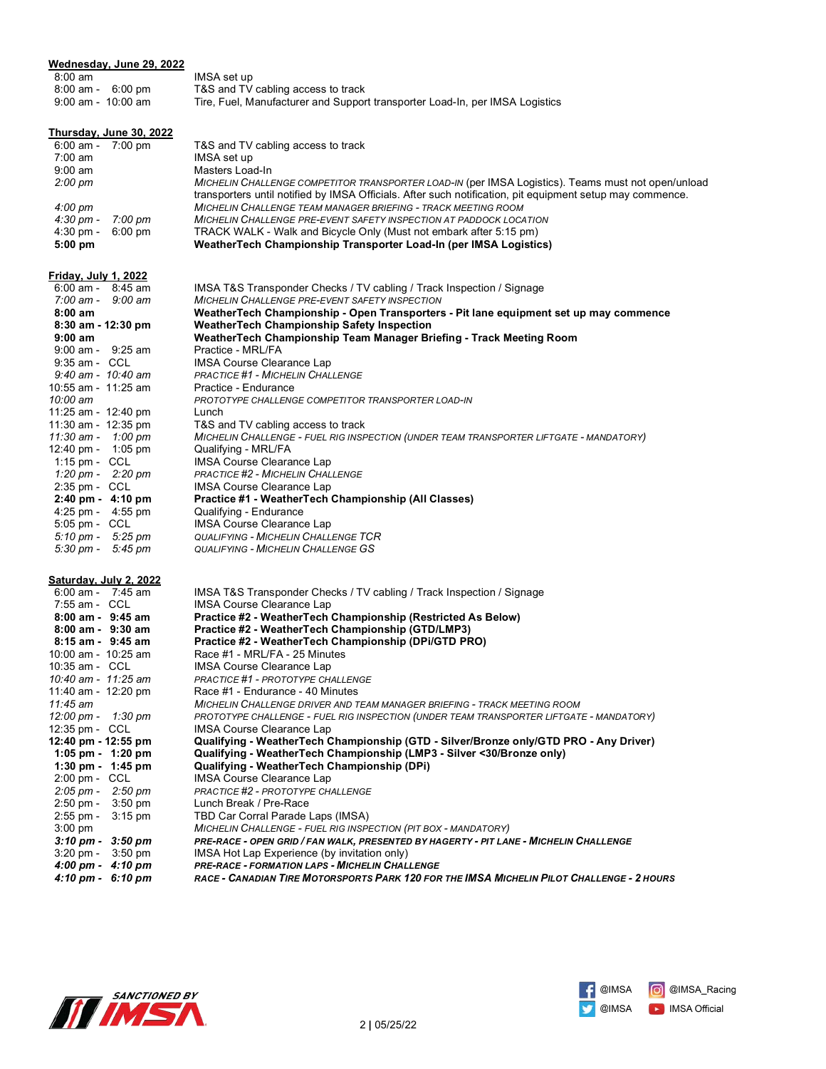| Wednesday, June 29, 2022                                     |                                                                                                                                |
|--------------------------------------------------------------|--------------------------------------------------------------------------------------------------------------------------------|
| $8:00$ am                                                    | IMSA set up                                                                                                                    |
| 8:00 am - 6:00 pm                                            | T&S and TV cabling access to track                                                                                             |
| $9:00$ am - $10:00$ am                                       | Tire, Fuel, Manufacturer and Support transporter Load-In, per IMSA Logistics                                                   |
|                                                              |                                                                                                                                |
| Thursday, June 30, 2022<br>6:00 am - 7:00 pm                 | T&S and TV cabling access to track                                                                                             |
| $7:00 \text{ am}$                                            | IMSA set up                                                                                                                    |
| $9:00 \text{ am}$                                            | Masters Load-In                                                                                                                |
| $2:00 \text{ pm}$                                            | MICHELIN CHALLENGE COMPETITOR TRANSPORTER LOAD-IN (per IMSA Logistics). Teams must not open/unload                             |
|                                                              | transporters until notified by IMSA Officials. After such notification, pit equipment setup may commence.                      |
| $4:00 \text{ pm}$                                            | <b>MICHELIN CHALLENGE TEAM MANAGER BRIEFING - TRACK MEETING ROOM</b>                                                           |
| 4:30 pm -<br>7:00 pm                                         | <b>MICHELIN CHALLENGE PRE-EVENT SAFETY INSPECTION AT PADDOCK LOCATION</b>                                                      |
| 4:30 pm -<br>$6:00 \text{ pm}$                               | TRACK WALK - Walk and Bicycle Only (Must not embark after 5:15 pm)                                                             |
| $5:00$ pm                                                    | WeatherTech Championship Transporter Load-In (per IMSA Logistics)                                                              |
|                                                              |                                                                                                                                |
| Friday, July 1, 2022                                         |                                                                                                                                |
| $6:00$ am - $8:45$ am<br>$7:00 \text{ am} - 9:00 \text{ am}$ | IMSA T&S Transponder Checks / TV cabling / Track Inspection / Signage<br><b>MICHELIN CHALLENGE PRE-EVENT SAFETY INSPECTION</b> |
| $8:00$ am                                                    | WeatherTech Championship - Open Transporters - Pit lane equipment set up may commence                                          |
| 8:30 am - 12:30 pm                                           | <b>WeatherTech Championship Safety Inspection</b>                                                                              |
| $9:00$ am                                                    | WeatherTech Championship Team Manager Briefing - Track Meeting Room                                                            |
| $9:00$ am - $9:25$ am                                        | Practice - MRL/FA                                                                                                              |
| $9:35$ am - CCL                                              | <b>IMSA Course Clearance Lap</b>                                                                                               |
| 9:40 am - 10:40 am                                           | <b>PRACTICE #1 - MICHELIN CHALLENGE</b>                                                                                        |
| 10:55 am - 11:25 am                                          | Practice - Endurance                                                                                                           |
| 10:00 am                                                     | PROTOTYPE CHALLENGE COMPETITOR TRANSPORTER LOAD-IN                                                                             |
| 11:25 am - 12:40 pm                                          | Lunch                                                                                                                          |
| 11:30 am - 12:35 pm<br>11:30 am - 1:00 pm                    | T&S and TV cabling access to track<br>MICHELIN CHALLENGE - FUEL RIG INSPECTION (UNDER TEAM TRANSPORTER LIFTGATE - MANDATORY)   |
| 12:40 pm - 1:05 pm                                           | Qualifying - MRL/FA                                                                                                            |
| 1:15 pm - $CCL$                                              | <b>IMSA Course Clearance Lap</b>                                                                                               |
| 1:20 pm - $2:20$ pm                                          | <b>PRACTICE #2 - MICHELIN CHALLENGE</b>                                                                                        |
| 2:35 pm - CCL                                                | <b>IMSA Course Clearance Lap</b>                                                                                               |
| $2:40 \text{ pm} - 4:10 \text{ pm}$                          | Practice #1 - WeatherTech Championship (All Classes)                                                                           |
| $4:25 \text{ pm} - 4:55 \text{ pm}$                          | Qualifying - Endurance                                                                                                         |
| 5:05 pm - CCL                                                | <b>IMSA Course Clearance Lap</b>                                                                                               |
| $5:10 \text{ pm} - 5:25 \text{ pm}$                          | <b>QUALIFYING - MICHELIN CHALLENGE TCR</b>                                                                                     |
| $5:30 \text{ pm} - 5:45 \text{ pm}$                          | <b>QUALIFYING - MICHELIN CHALLENGE GS</b>                                                                                      |
| Saturday, July 2, 2022                                       |                                                                                                                                |
| $6:00$ am - 7:45 am                                          | IMSA T&S Transponder Checks / TV cabling / Track Inspection / Signage                                                          |
| 7:55 am - CCL                                                | <b>IMSA Course Clearance Lap</b>                                                                                               |
| 8:00 am - 9:45 am                                            | Practice #2 - WeatherTech Championship (Restricted As Below)                                                                   |
| $8:00$ am - $9:30$ am                                        | Practice #2 - WeatherTech Championship (GTD/LMP3)                                                                              |
| $8:15$ am - $9:45$ am                                        | Practice #2 - WeatherTech Championship (DPi/GTD PRO)                                                                           |
| 10:00 am - 10:25 am                                          | Race #1 - MRL/FA - 25 Minutes                                                                                                  |
| 10:35 am - CCL<br>10:40 am - 11:25 am                        | IMSA Course Clearance Lap<br>PRACTICE #1 - PROTOTYPE CHALLENGE                                                                 |
| 11:40 am - 12:20 pm                                          | Race #1 - Endurance - 40 Minutes                                                                                               |
| $11:45$ am                                                   | MICHELIN CHALLENGE DRIVER AND TEAM MANAGER BRIEFING - TRACK MEETING ROOM                                                       |
| $12:00 \text{ pm} - 1:30 \text{ pm}$                         | PROTOTYPE CHALLENGE - FUEL RIG INSPECTION (UNDER TEAM TRANSPORTER LIFTGATE - MANDATORY)                                        |
| 12:35 pm - CCL                                               | <b>IMSA Course Clearance Lap</b>                                                                                               |
| 12:40 pm - 12:55 pm                                          | Qualifying - WeatherTech Championship (GTD - Silver/Bronze only/GTD PRO - Any Driver)                                          |
| 1:05 pm - 1:20 pm                                            | Qualifying - WeatherTech Championship (LMP3 - Silver <30/Bronze only)                                                          |
| 1:30 pm - 1:45 pm                                            | Qualifying - WeatherTech Championship (DPi)                                                                                    |
| 2:00 pm - CCL                                                | IMSA Course Clearance Lap                                                                                                      |
| $2:05 \text{ pm} - 2:50 \text{ pm}$                          | PRACTICE #2 - PROTOTYPE CHALLENGE                                                                                              |
| 2:50 pm -<br>$3:50$ pm<br>2:55 pm - 3:15 pm                  | Lunch Break / Pre-Race<br>TBD Car Corral Parade Laps (IMSA)                                                                    |
| $3:00$ pm                                                    | MICHELIN CHALLENGE - FUEL RIG INSPECTION (PIT BOX - MANDATORY)                                                                 |
| $3:10 \text{ pm} - 3:50 \text{ pm}$                          | PRE-RACE - OPEN GRID / FAN WALK, PRESENTED BY HAGERTY - PIT LANE - MICHELIN CHALLENGE                                          |
| $3:20 \text{ pm} - 3:50 \text{ pm}$                          | IMSA Hot Lap Experience (by invitation only)                                                                                   |
| $4:00 \text{ pm} - 4:10 \text{ pm}$                          | PRE-RACE - FORMATION LAPS - MICHELIN CHALLENGE                                                                                 |
| $4:10 \text{ pm} - 6:10 \text{ pm}$                          | RACE - CANADIAN TIRE MOTORSPORTS PARK 120 FOR THE IMSA MICHELIN PILOT CHALLENGE - 2 HOURS                                      |



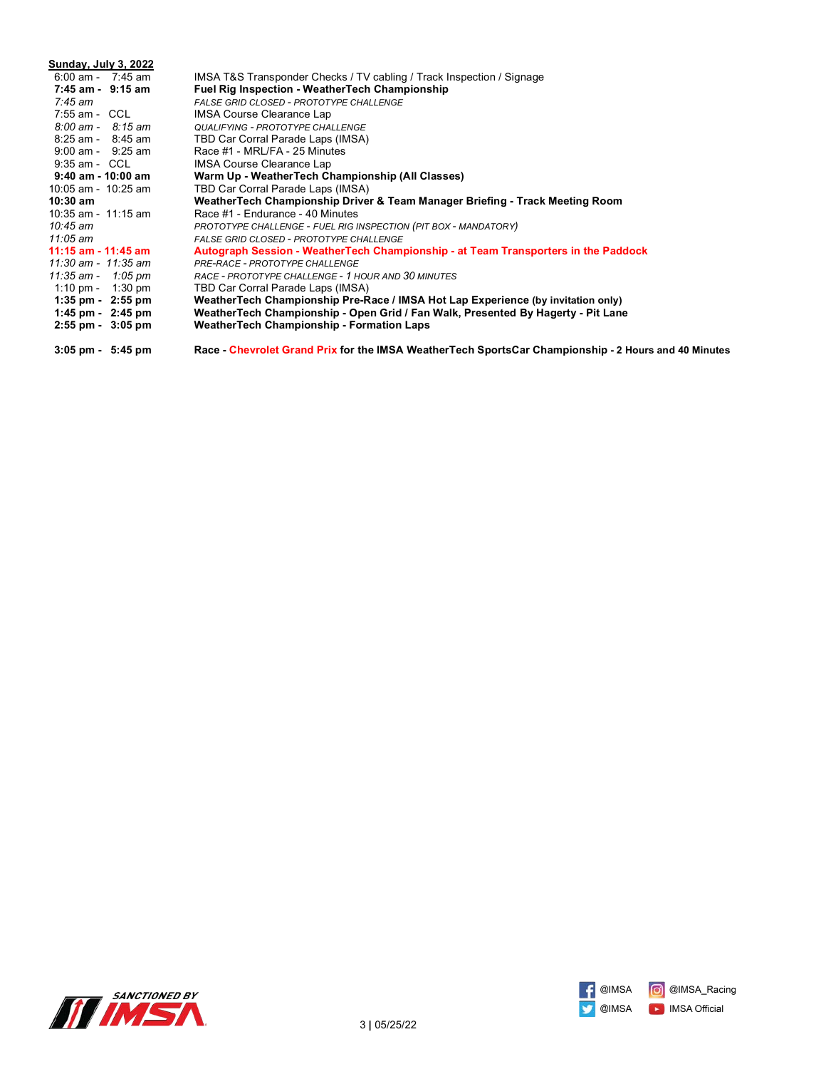| Sunday, July 3, 2022                |                                                                                                      |
|-------------------------------------|------------------------------------------------------------------------------------------------------|
| $6:00$ am - 7:45 am                 | IMSA T&S Transponder Checks / TV cabling / Track Inspection / Signage                                |
| 7:45 am - 9:15 am                   | <b>Fuel Rig Inspection - WeatherTech Championship</b>                                                |
| 7:45 am                             | FALSE GRID CLOSED - PROTOTYPE CHALLENGE                                                              |
| 7:55 am - CCL                       | IMSA Course Clearance Lap                                                                            |
| $8:00 \text{ am} - 8:15 \text{ am}$ | <b>QUALIFYING - PROTOTYPE CHALLENGE</b>                                                              |
| $8:25$ am - $8:45$ am               | TBD Car Corral Parade Laps (IMSA)                                                                    |
| $9:00$ am - $9:25$ am               | Race #1 - MRL/FA - 25 Minutes                                                                        |
| $9:35$ am - CCL                     | IMSA Course Clearance Lap                                                                            |
| 9:40 am - 10:00 am                  | Warm Up - Weather Tech Championship (All Classes)                                                    |
| 10:05 am - 10:25 am                 | TBD Car Corral Parade Laps (IMSA)                                                                    |
| $10:30 \text{ am}$                  | WeatherTech Championship Driver & Team Manager Briefing - Track Meeting Room                         |
| 10:35 am - $11:15$ am               | Race #1 - Endurance - 40 Minutes                                                                     |
| 10:45 $am$                          | PROTOTYPE CHALLENGE - FUEL RIG INSPECTION (PIT BOX - MANDATORY)                                      |
| 11:05 am                            | <b>FALSE GRID CLOSED - PROTOTYPE CHALLENGE</b>                                                       |
| $11:15$ am - $11:45$ am             | Autograph Session - WeatherTech Championship - at Team Transporters in the Paddock                   |
| 11:30 am - 11:35 am                 | PRE-RACE - PROTOTYPE CHALLENGE                                                                       |
| $11:35$ am - $1:05$ pm              | RACE - PROTOTYPE CHALLENGE - 1 HOUR AND 30 MINUTES                                                   |
| 1:10 pm - 1:30 pm                   | TBD Car Corral Parade Laps (IMSA)                                                                    |
| $1:35 \text{ pm} - 2:55 \text{ pm}$ | WeatherTech Championship Pre-Race / IMSA Hot Lap Experience (by invitation only)                     |
| 1:45 pm $-$ 2:45 pm                 | WeatherTech Championship - Open Grid / Fan Walk, Presented By Hagerty - Pit Lane                     |
| $2:55$ pm - $3:05$ pm               | <b>WeatherTech Championship - Formation Laps</b>                                                     |
| $3:05 \text{ pm} - 5:45 \text{ pm}$ | Race - Chevrolet Grand Prix for the IMSA WeatherTech SportsCar Championship - 2 Hours and 40 Minutes |



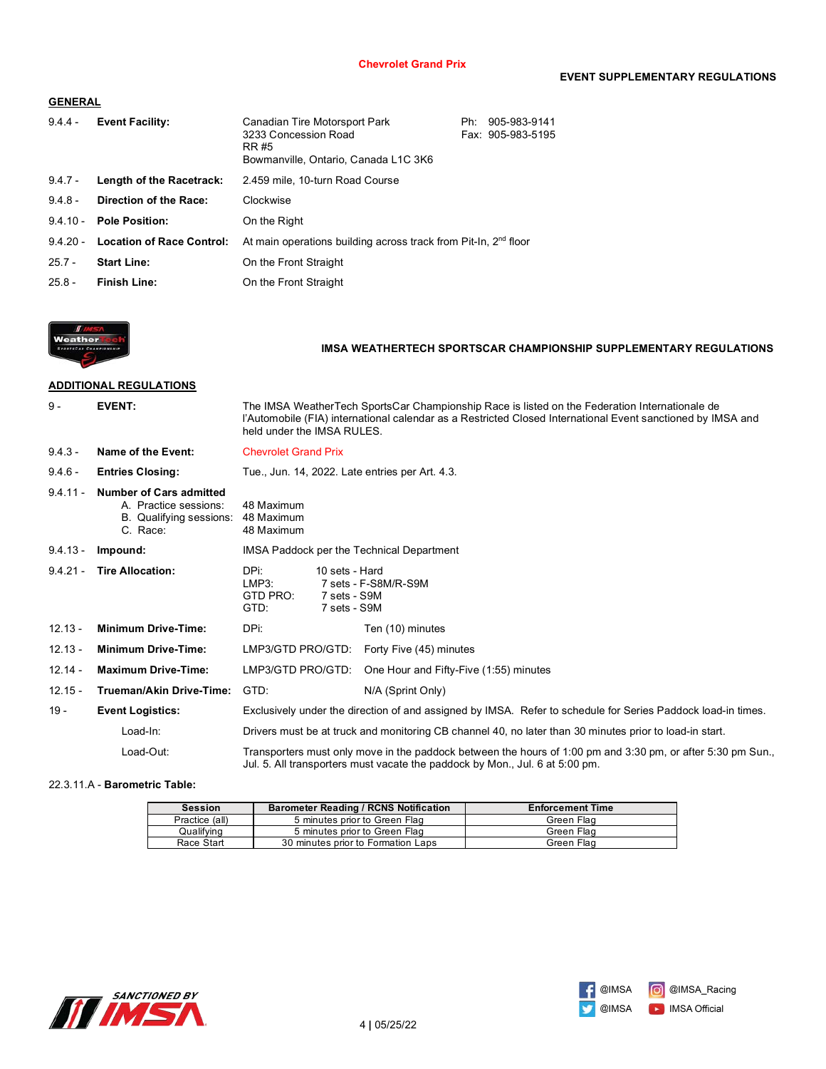## **GENERAL**

| $9.4.4 -$  | <b>Event Facility:</b>           | Canadian Tire Motorsport Park<br>3233 Concession Road<br>RR #5<br>Bowmanville, Ontario, Canada L1C 3K6 | Ph: | 905-983-9141<br>Fax: 905-983-5195 |
|------------|----------------------------------|--------------------------------------------------------------------------------------------------------|-----|-----------------------------------|
| $9.4.7 -$  | Length of the Racetrack:         | 2.459 mile, 10-turn Road Course                                                                        |     |                                   |
| $9.4.8 -$  | Direction of the Race:           | Clockwise                                                                                              |     |                                   |
| $9.4.10 -$ | <b>Pole Position:</b>            | On the Right                                                                                           |     |                                   |
| $9.4.20 -$ | <b>Location of Race Control:</b> | At main operations building across track from Pit-In, 2 <sup>nd</sup> floor                            |     |                                   |
| $25.7 -$   | <b>Start Line:</b>               | On the Front Straight                                                                                  |     |                                   |
| $25.8 -$   | Finish Line:                     | On the Front Straight                                                                                  |     |                                   |



## **IMSA WEATHERTECH SPORTSCAR CHAMPIONSHIP SUPPLEMENTARY REGULATIONS**

## **ADDITIONAL REGULATIONS**

| $9 -$      | <b>EVENT:</b>                                                                                  | The IMSA WeatherTech SportsCar Championship Race is listed on the Federation Internationale de<br>l'Automobile (FIA) international calendar as a Restricted Closed International Event sanctioned by IMSA and<br>held under the IMSA RULES. |                                                                                                                                                                                             |
|------------|------------------------------------------------------------------------------------------------|---------------------------------------------------------------------------------------------------------------------------------------------------------------------------------------------------------------------------------------------|---------------------------------------------------------------------------------------------------------------------------------------------------------------------------------------------|
| $9.4.3 -$  | Name of the Event:                                                                             | <b>Chevrolet Grand Prix</b>                                                                                                                                                                                                                 |                                                                                                                                                                                             |
| $9.4.6 -$  | <b>Entries Closing:</b>                                                                        | Tue., Jun. 14, 2022. Late entries per Art. 4.3.                                                                                                                                                                                             |                                                                                                                                                                                             |
| $9.4.11 -$ | <b>Number of Cars admitted</b><br>A. Practice sessions:<br>B. Qualifying sessions:<br>C. Race: | 48 Maximum<br>48 Maximum<br>48 Maximum                                                                                                                                                                                                      |                                                                                                                                                                                             |
| $9.4.13 -$ | Impound:                                                                                       | IMSA Paddock per the Technical Department                                                                                                                                                                                                   |                                                                                                                                                                                             |
| $9.4.21 -$ | <b>Tire Allocation:</b>                                                                        | DPi:<br>10 sets - Hard<br>LMP3:<br>7 sets - F-S8M/R-S9M<br>GTD PRO:<br>7 sets - S9M<br>GTD:<br>7 sets - S9M                                                                                                                                 |                                                                                                                                                                                             |
| $12.13 -$  | <b>Minimum Drive-Time:</b>                                                                     | DPi:                                                                                                                                                                                                                                        | Ten (10) minutes                                                                                                                                                                            |
| $12.13 -$  | <b>Minimum Drive-Time:</b>                                                                     | LMP3/GTD PRO/GTD:                                                                                                                                                                                                                           | Forty Five (45) minutes                                                                                                                                                                     |
| $12.14 -$  | <b>Maximum Drive-Time:</b>                                                                     | LMP3/GTD PRO/GTD:                                                                                                                                                                                                                           | One Hour and Fifty-Five (1:55) minutes                                                                                                                                                      |
| $12.15 -$  | Trueman/Akin Drive-Time:                                                                       | GTD:                                                                                                                                                                                                                                        | N/A (Sprint Only)                                                                                                                                                                           |
| $19 -$     | <b>Event Logistics:</b>                                                                        |                                                                                                                                                                                                                                             | Exclusively under the direction of and assigned by IMSA. Refer to schedule for Series Paddock load-in times.                                                                                |
|            | Load-In:                                                                                       |                                                                                                                                                                                                                                             | Drivers must be at truck and monitoring CB channel 40, no later than 30 minutes prior to load-in start.                                                                                     |
|            | Load-Out:                                                                                      |                                                                                                                                                                                                                                             | Transporters must only move in the paddock between the hours of 1:00 pm and 3:30 pm, or after 5:30 pm Sun.,<br>Jul. 5. All transporters must vacate the paddock by Mon., Jul. 6 at 5:00 pm. |

#### 22.3.11.A - **Barometric Table:**

| <b>Session</b> | <b>Barometer Reading / RCNS Notification</b> | <b>Enforcement Time</b> |
|----------------|----------------------------------------------|-------------------------|
| Practice (all) | 5 minutes prior to Green Flag                | Green Flag              |
| Qualifving     | 5 minutes prior to Green Flag                | Green Flag              |
| Race Start     | 30 minutes prior to Formation Laps           | Green Flag              |



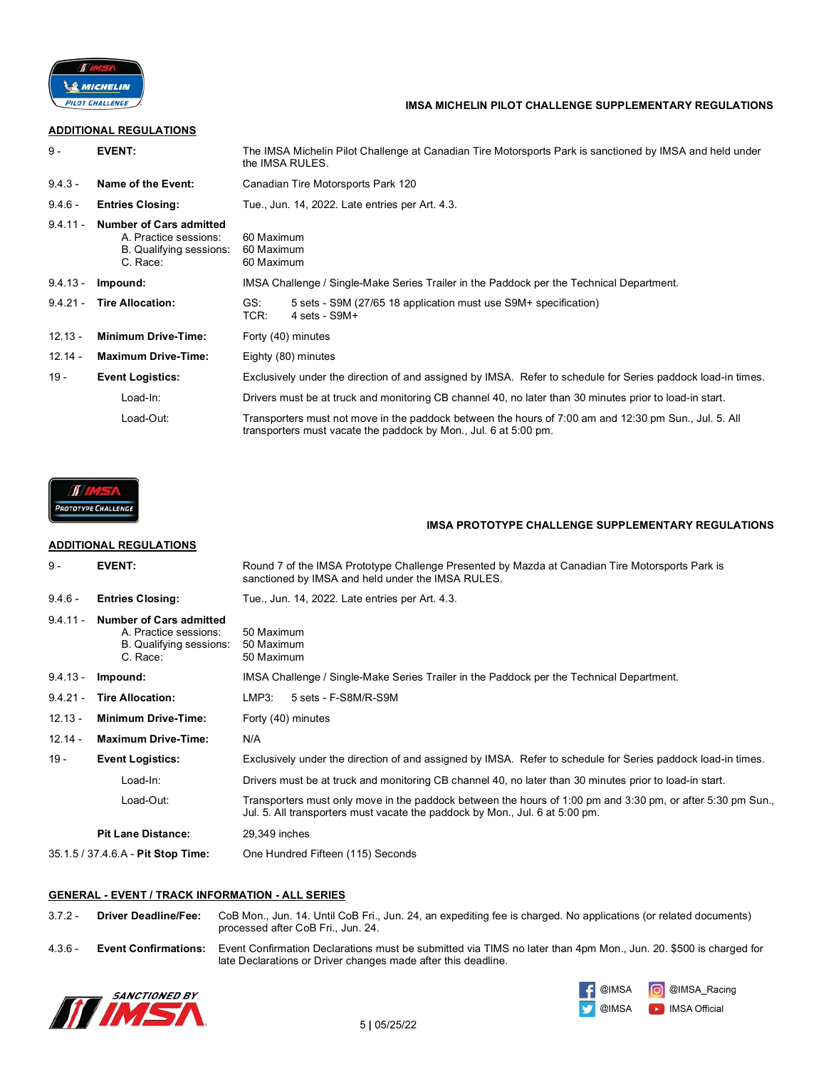

## **IMSA MICHELIN PILOT CHALLENGE SUPPLEMENTARY REGULATIONS**

## **ADDITIONAL REGULATIONS**

| $9 -$      | <b>EVENT:</b>                                                                                  | The IMSA Michelin Pilot Challenge at Canadian Tire Motorsports Park is sanctioned by IMSA and held under<br>the IMSA RULES.                                               |  |
|------------|------------------------------------------------------------------------------------------------|---------------------------------------------------------------------------------------------------------------------------------------------------------------------------|--|
| $9.4.3 -$  | Name of the Event:                                                                             | Canadian Tire Motorsports Park 120                                                                                                                                        |  |
| $9.4.6 -$  | <b>Entries Closing:</b>                                                                        | Tue., Jun. 14, 2022. Late entries per Art. 4.3.                                                                                                                           |  |
| $9.4.11 -$ | <b>Number of Cars admitted</b><br>A. Practice sessions:<br>B. Qualifying sessions:<br>C. Race: | 60 Maximum<br>60 Maximum<br>60 Maximum                                                                                                                                    |  |
| $9.4.13 -$ | Impound:                                                                                       | IMSA Challenge / Single-Make Series Trailer in the Paddock per the Technical Department.                                                                                  |  |
| $9.4.21 -$ | <b>Tire Allocation:</b>                                                                        | GS:<br>5 sets - S9M (27/65 18 application must use S9M+ specification)<br>TCR:<br>$4 \text{ sets} - \text{S}9M+$                                                          |  |
| $12.13 -$  | <b>Minimum Drive-Time:</b>                                                                     | Forty (40) minutes                                                                                                                                                        |  |
| $12.14 -$  | <b>Maximum Drive-Time:</b>                                                                     | Eighty (80) minutes                                                                                                                                                       |  |
| $19 -$     | <b>Event Logistics:</b>                                                                        | Exclusively under the direction of and assigned by IMSA. Refer to schedule for Series paddock load-in times.                                                              |  |
|            | Load-In:                                                                                       | Drivers must be at truck and monitoring CB channel 40, no later than 30 minutes prior to load-in start.                                                                   |  |
|            | Load-Out:                                                                                      | Transporters must not move in the paddock between the hours of 7:00 am and 12:30 pm Sun., Jul. 5. All<br>transporters must vacate the paddock by Mon., Jul. 6 at 5:00 pm. |  |



### **IMSA PROTOTYPE CHALLENGE SUPPLEMENTARY REGULATIONS**

# **ADDITIONAL REGULATIONS**

| $9 -$                     | <b>EVENT:</b>                                                                                  | Round 7 of the IMSA Prototype Challenge Presented by Mazda at Canadian Tire Motorsports Park is<br>sanctioned by IMSA and held under the IMSA RULES.                                        |  |
|---------------------------|------------------------------------------------------------------------------------------------|---------------------------------------------------------------------------------------------------------------------------------------------------------------------------------------------|--|
| $9.4.6 -$                 | <b>Entries Closing:</b>                                                                        | Tue., Jun. 14, 2022. Late entries per Art. 4.3.                                                                                                                                             |  |
| $9.4.11 -$                | <b>Number of Cars admitted</b><br>A. Practice sessions:<br>B. Qualifying sessions:<br>C. Race: | 50 Maximum<br>50 Maximum<br>50 Maximum                                                                                                                                                      |  |
| $9.4.13 -$                | Impound:                                                                                       | IMSA Challenge / Single-Make Series Trailer in the Paddock per the Technical Department.                                                                                                    |  |
| $9.4.21 -$                | <b>Tire Allocation:</b>                                                                        | LMP3:<br>5 sets - F-S8M/R-S9M                                                                                                                                                               |  |
| $12.13 -$                 | <b>Minimum Drive-Time:</b>                                                                     | Forty (40) minutes                                                                                                                                                                          |  |
| $12.14 -$                 | <b>Maximum Drive-Time:</b>                                                                     | N/A                                                                                                                                                                                         |  |
| 19 -                      | <b>Event Logistics:</b>                                                                        | Exclusively under the direction of and assigned by IMSA. Refer to schedule for Series paddock load-in times.                                                                                |  |
|                           | Load-In:                                                                                       | Drivers must be at truck and monitoring CB channel 40, no later than 30 minutes prior to load-in start.                                                                                     |  |
|                           | Load-Out:                                                                                      | Transporters must only move in the paddock between the hours of 1:00 pm and 3:30 pm, or after 5:30 pm Sun.,<br>Jul. 5. All transporters must vacate the paddock by Mon., Jul. 6 at 5:00 pm. |  |
| <b>Pit Lane Distance:</b> |                                                                                                | 29,349 inches                                                                                                                                                                               |  |
|                           | 35.1.5 / 37.4.6.A - Pit Stop Time:                                                             | One Hundred Fifteen (115) Seconds                                                                                                                                                           |  |

#### **GENERAL - EVENT / TRACK INFORMATION - ALL SERIES**

| $3.7.2 -$ | <b>Driver Deadline/Fee:</b> | CoB Mon., Jun. 14. Until CoB Fri., Jun. 24, an expediting fee is charged. No applications (or related documents)<br>processed after CoB Fri., Jun. 24.                            |
|-----------|-----------------------------|-----------------------------------------------------------------------------------------------------------------------------------------------------------------------------------|
| $4.3.6 -$ | <b>Event Confirmations:</b> | Event Confirmation Declarations must be submitted via TIMS no later than 4pm Mon., Jun. 20. \$500 is charged for<br>late Declarations or Driver changes made after this deadline. |



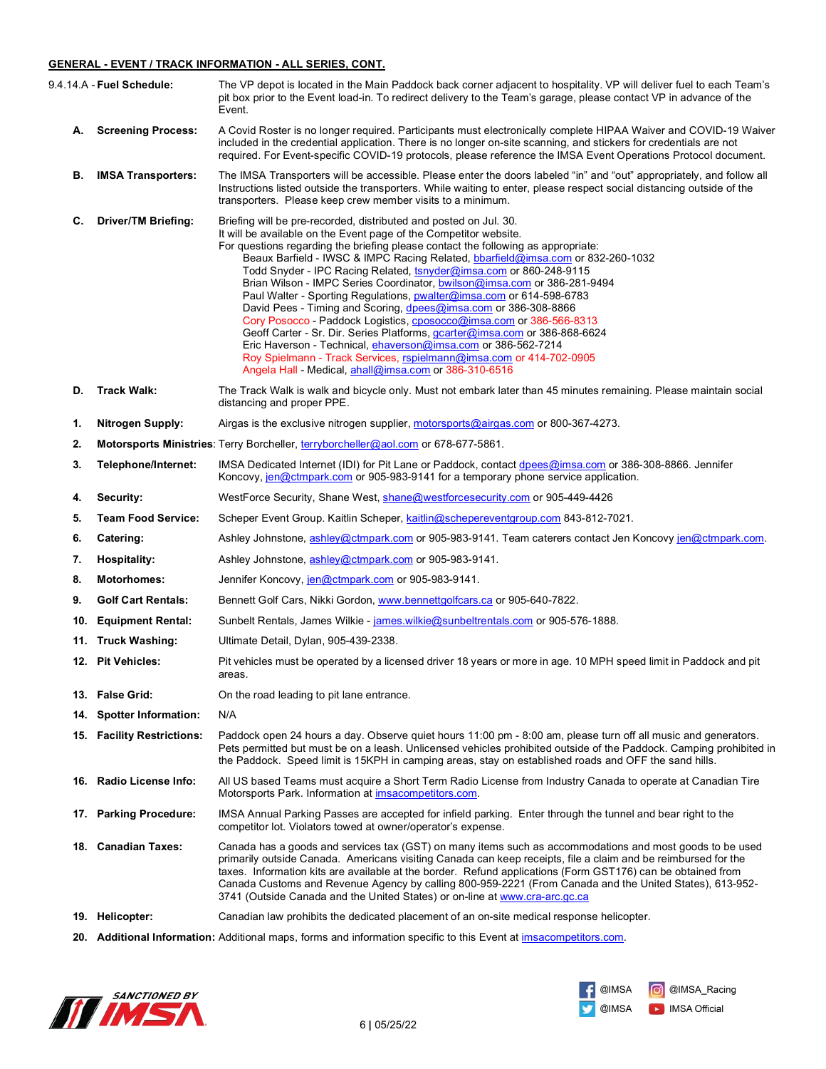#### **GENERAL - EVENT / TRACK INFORMATION - ALL SERIES, CONT.**

|     | 9.4.14.A - Fuel Schedule:   | The VP depot is located in the Main Paddock back corner adjacent to hospitality. VP will deliver fuel to each Team's<br>pit box prior to the Event load-in. To redirect delivery to the Team's garage, please contact VP in advance of the<br>Event.                                                                                                                                                                                                                                                                                                                                                                                                                                                                                                                                                                                                                                                                                                              |
|-----|-----------------------------|-------------------------------------------------------------------------------------------------------------------------------------------------------------------------------------------------------------------------------------------------------------------------------------------------------------------------------------------------------------------------------------------------------------------------------------------------------------------------------------------------------------------------------------------------------------------------------------------------------------------------------------------------------------------------------------------------------------------------------------------------------------------------------------------------------------------------------------------------------------------------------------------------------------------------------------------------------------------|
| А.  | <b>Screening Process:</b>   | A Covid Roster is no longer required. Participants must electronically complete HIPAA Waiver and COVID-19 Waiver<br>included in the credential application. There is no longer on-site scanning, and stickers for credentials are not<br>required. For Event-specific COVID-19 protocols, please reference the IMSA Event Operations Protocol document.                                                                                                                                                                                                                                                                                                                                                                                                                                                                                                                                                                                                           |
| В.  | <b>IMSA Transporters:</b>   | The IMSA Transporters will be accessible. Please enter the doors labeled "in" and "out" appropriately, and follow all<br>Instructions listed outside the transporters. While waiting to enter, please respect social distancing outside of the<br>transporters. Please keep crew member visits to a minimum.                                                                                                                                                                                                                                                                                                                                                                                                                                                                                                                                                                                                                                                      |
| С.  | <b>Driver/TM Briefing:</b>  | Briefing will be pre-recorded, distributed and posted on Jul. 30.<br>It will be available on the Event page of the Competitor website.<br>For questions regarding the briefing please contact the following as appropriate:<br>Beaux Barfield - IWSC & IMPC Racing Related, bbarfield@imsa.com or 832-260-1032<br>Todd Snyder - IPC Racing Related, tsnyder@imsa.com or 860-248-9115<br>Brian Wilson - IMPC Series Coordinator, bwilson@imsa.com or 386-281-9494<br>Paul Walter - Sporting Regulations, pwalter@imsa.com or 614-598-6783<br>David Pees - Timing and Scoring, dpees@imsa.com or 386-308-8866<br>Cory Posocco - Paddock Logistics, cposocco@imsa.com or 386-566-8313<br>Geoff Carter - Sr. Dir. Series Platforms, gcarter@imsa.com or 386-868-6624<br>Eric Haverson - Technical, ehaverson@imsa.com or 386-562-7214<br>Roy Spielmann - Track Services, rspielmann@imsa.com or 414-702-0905<br>Angela Hall - Medical, ahall@imsa.com or 386-310-6516 |
| D.  | <b>Track Walk:</b>          | The Track Walk is walk and bicycle only. Must not embark later than 45 minutes remaining. Please maintain social<br>distancing and proper PPE.                                                                                                                                                                                                                                                                                                                                                                                                                                                                                                                                                                                                                                                                                                                                                                                                                    |
| 1.  | <b>Nitrogen Supply:</b>     | Airgas is the exclusive nitrogen supplier, motorsports@airgas.com or 800-367-4273.                                                                                                                                                                                                                                                                                                                                                                                                                                                                                                                                                                                                                                                                                                                                                                                                                                                                                |
| 2.  |                             | Motorsports Ministries: Terry Borcheller, terryborcheller@aol.com or 678-677-5861.                                                                                                                                                                                                                                                                                                                                                                                                                                                                                                                                                                                                                                                                                                                                                                                                                                                                                |
| 3.  | Telephone/Internet:         | IMSA Dedicated Internet (IDI) for Pit Lane or Paddock, contact dpees@imsa.com or 386-308-8866. Jennifer<br>Koncovy, jen@ctmpark.com or 905-983-9141 for a temporary phone service application.                                                                                                                                                                                                                                                                                                                                                                                                                                                                                                                                                                                                                                                                                                                                                                    |
| 4.  | Security:                   | WestForce Security, Shane West, shane@westforcesecurity.com or 905-449-4426                                                                                                                                                                                                                                                                                                                                                                                                                                                                                                                                                                                                                                                                                                                                                                                                                                                                                       |
| 5.  | <b>Team Food Service:</b>   | Scheper Event Group. Kaitlin Scheper, kaitlin@schepereventgroup.com 843-812-7021.                                                                                                                                                                                                                                                                                                                                                                                                                                                                                                                                                                                                                                                                                                                                                                                                                                                                                 |
| 6.  | Catering:                   | Ashley Johnstone, ashley@ctmpark.com or 905-983-9141. Team caterers contact Jen Koncovy jen@ctmpark.com.                                                                                                                                                                                                                                                                                                                                                                                                                                                                                                                                                                                                                                                                                                                                                                                                                                                          |
| 7.  | <b>Hospitality:</b>         | Ashley Johnstone, ashley@ctmpark.com or 905-983-9141.                                                                                                                                                                                                                                                                                                                                                                                                                                                                                                                                                                                                                                                                                                                                                                                                                                                                                                             |
| 8.  | <b>Motorhomes:</b>          | Jennifer Koncovy, jen@ctmpark.com or 905-983-9141.                                                                                                                                                                                                                                                                                                                                                                                                                                                                                                                                                                                                                                                                                                                                                                                                                                                                                                                |
| 9.  | <b>Golf Cart Rentals:</b>   | Bennett Golf Cars, Nikki Gordon, www.bennettgolfcars.ca or 905-640-7822.                                                                                                                                                                                                                                                                                                                                                                                                                                                                                                                                                                                                                                                                                                                                                                                                                                                                                          |
| 10. | <b>Equipment Rental:</b>    | Sunbelt Rentals, James Wilkie - james.wilkie@sunbeltrentals.com or 905-576-1888.                                                                                                                                                                                                                                                                                                                                                                                                                                                                                                                                                                                                                                                                                                                                                                                                                                                                                  |
| 11. | <b>Truck Washing:</b>       | Ultimate Detail, Dylan, 905-439-2338.                                                                                                                                                                                                                                                                                                                                                                                                                                                                                                                                                                                                                                                                                                                                                                                                                                                                                                                             |
|     | 12. Pit Vehicles:           | Pit vehicles must be operated by a licensed driver 18 years or more in age. 10 MPH speed limit in Paddock and pit<br>areas.                                                                                                                                                                                                                                                                                                                                                                                                                                                                                                                                                                                                                                                                                                                                                                                                                                       |
|     | 13. False Grid:             | On the road leading to pit lane entrance.                                                                                                                                                                                                                                                                                                                                                                                                                                                                                                                                                                                                                                                                                                                                                                                                                                                                                                                         |
| 14. | <b>Spotter Information:</b> | N/A                                                                                                                                                                                                                                                                                                                                                                                                                                                                                                                                                                                                                                                                                                                                                                                                                                                                                                                                                               |
|     | 15. Facility Restrictions:  | Paddock open 24 hours a day. Observe quiet hours 11:00 pm - 8:00 am, please turn off all music and generators.<br>Pets permitted but must be on a leash. Unlicensed vehicles prohibited outside of the Paddock. Camping prohibited in<br>the Paddock. Speed limit is 15KPH in camping areas, stay on established roads and OFF the sand hills.                                                                                                                                                                                                                                                                                                                                                                                                                                                                                                                                                                                                                    |
| 16. | Radio License Info:         | All US based Teams must acquire a Short Term Radio License from Industry Canada to operate at Canadian Tire<br>Motorsports Park. Information at imsacompetitors.com.                                                                                                                                                                                                                                                                                                                                                                                                                                                                                                                                                                                                                                                                                                                                                                                              |
|     | 17. Parking Procedure:      | IMSA Annual Parking Passes are accepted for infield parking. Enter through the tunnel and bear right to the<br>competitor lot. Violators towed at owner/operator's expense.                                                                                                                                                                                                                                                                                                                                                                                                                                                                                                                                                                                                                                                                                                                                                                                       |
|     | 18. Canadian Taxes:         | Canada has a goods and services tax (GST) on many items such as accommodations and most goods to be used<br>primarily outside Canada. Americans visiting Canada can keep receipts, file a claim and be reimbursed for the<br>taxes. Information kits are available at the border. Refund applications (Form GST176) can be obtained from<br>Canada Customs and Revenue Agency by calling 800-959-2221 (From Canada and the United States), 613-952-<br>3741 (Outside Canada and the United States) or on-line at www.cra-arc.gc.ca                                                                                                                                                                                                                                                                                                                                                                                                                                |
|     | 19. Helicopter:             | Canadian law prohibits the dedicated placement of an on-site medical response helicopter.                                                                                                                                                                                                                                                                                                                                                                                                                                                                                                                                                                                                                                                                                                                                                                                                                                                                         |
|     |                             |                                                                                                                                                                                                                                                                                                                                                                                                                                                                                                                                                                                                                                                                                                                                                                                                                                                                                                                                                                   |

**20. Additional Information:** Additional maps, forms and information specific to this Event at imsacompetitors.com.